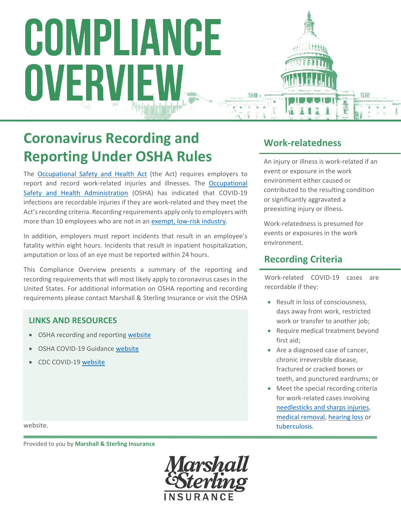# COMPLIANCE OVERVIEW

# **Coronavirus Recording and Reporting Under OSHA Rules**

The Occupational Safety and Health Act (the Act) requires employers to report and record work-related injuries and illnesses. The Occupational Safety and Health Administration (OSHA) has indicated that COVID-19 infections are recordable injuries if they are work‐related and they meet the Act's recording criteria. Recording requirements apply only to employers with more than 10 employees who are not in an exempt, low-risk industry.

In addition, employers must report incidents that result in an employee's fatality within eight hours. Incidents that result in inpatient hospitalization, amputation or loss of an eye must be reported within 24 hours.

This Compliance Overview presents a summary of the reporting and recording requirements that will most likely apply to coronavirus cases in the United States. For additional information on OSHA reporting and recording requirements please contact Marshall & Sterling Insurance or visit the OSHA

#### **LINKS AND RESOURCES**

- OSHA recording and reporting website
- OSHA COVID‐19 Guidance website
- CDC COVID‐19 website

## **Work‐relatedness**

An injury or illness is work‐related if an event or exposure in the work environment either caused or contributed to the resulting condition or significantly aggravated a preexisting injury or illness.

Work‐relatedness is presumed for events or exposures in the work environment.

### **Recording Criteria**

Work‐related COVID‐19 cases are recordable if they:

- Result in loss of consciousness, days away from work, restricted work or transfer to another job;
- Require medical treatment beyond first aid;
- Are a diagnosed case of cancer, chronic irreversible disease, fractured or cracked bones or teeth, and punctured eardrums; or
- Meet the special recording criteria for work‐related cases involving needlesticks and sharps injuries, medical removal, hearing loss or tuberculosis.

website.

. Provided to you by **Marshall & Sterling Insurance**

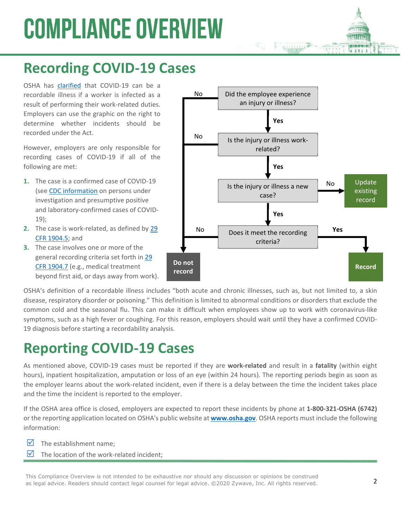# **COMPLIANCE OVERVIEW**

# **Recording COVID‐19 Cases**

OSHA has clarified that COVID‐19 can be a recordable illness if a worker is infected as a result of performing their work-related duties. Employers can use the graphic on the right to determine whether incidents should be recorded under the Act.

However, employers are only responsible for recording cases of COVID‐19 if all of the following are met:

- **1.** The case is a confirmed case of COVID‐19 (see CDC information on persons under investigation and presumptive positive and laboratory‐confirmed cases of COVID‐ 19);
- **2.** The case is work-related, as defined by 29 CFR 1904.5; and
- **3.** The case involves one or more of the general recording criteria set forth in 29 CFR 1904.7 (e.g., medical treatment beyond first aid, or days away from work).



OSHA's definition of a recordable illness includes "both acute and chronic illnesses, such as, but not limited to, a skin disease, respiratory disorder or poisoning." This definition is limited to abnormal conditions or disorders that exclude the common cold and the seasonal flu. This can make it difficult when employees show up to work with coronavirus-like symptoms, such as a high fever or coughing. For this reason, employers should wait until they have a confirmed COVID-19 diagnosis before starting a recordability analysis.

# **Reporting COVID‐19 Cases**

As mentioned above, COVID‐19 cases must be reported if they are **work‐related** and result in a **fatality** (within eight hours), inpatient hospitalization, amputation or loss of an eye (within 24 hours). The reporting periods begin as soon as the employer learns about the work-related incident, even if there is a delay between the time the incident takes place and the time the incident is reported to the employer.

If the OSHA area office is closed, employers are expected to report these incidents by phone at **1‐800‐321‐OSHA (6742)** or the reporting application located on OSHA's public website at **www.osha.gov**. OSHA reports must include the following information:

- $\triangledown$  The establishment name:
- $\triangledown$  The location of the work-related incident:

This Compliance Overview is not intended to be exhaustive nor should any discussion or opinions be construed<br>as legal advice. Readers should contact legal counsel for legal advice. ©2020 Zywave, Inc. All rights reserved.